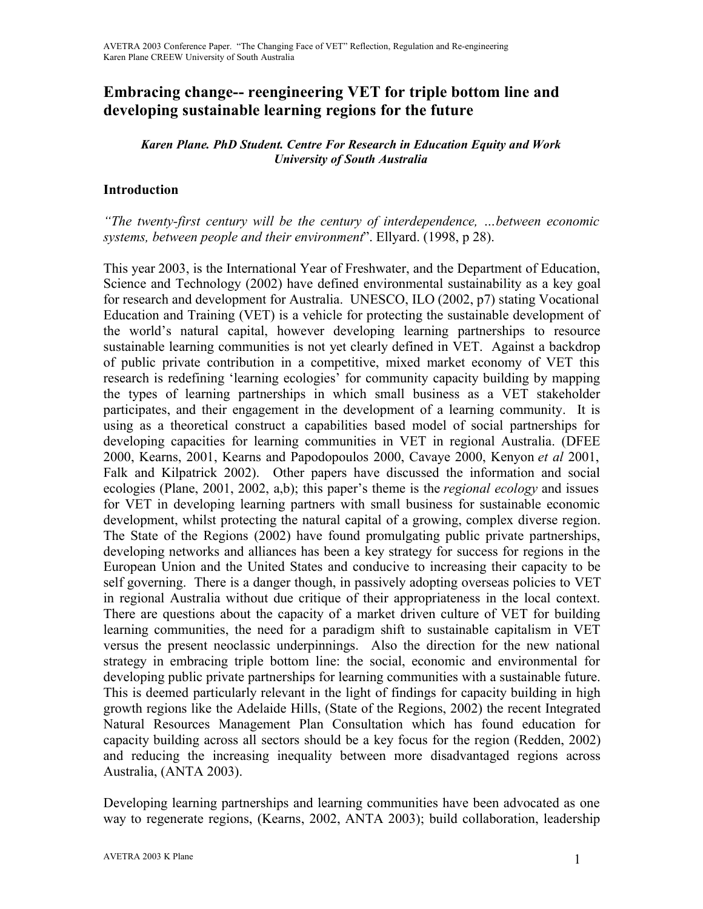# **Embracing change-- reengineering VET for triple bottom line and developing sustainable learning regions for the future**

### *Karen Plane. PhD Student. Centre For Research in Education Equity and Work University of South Australia*

## **Introduction**

*"The twenty-first century will be the century of interdependence, …between economic systems, between people and their environment*". Ellyard. (1998, p 28).

This year 2003, is the International Year of Freshwater, and the Department of Education, Science and Technology (2002) have defined environmental sustainability as a key goal for research and development for Australia. UNESCO, ILO (2002, p7) stating Vocational Education and Training (VET) is a vehicle for protecting the sustainable development of the world's natural capital, however developing learning partnerships to resource sustainable learning communities is not yet clearly defined in VET. Against a backdrop of public private contribution in a competitive, mixed market economy of VET this research is redefining 'learning ecologies' for community capacity building by mapping the types of learning partnerships in which small business as a VET stakeholder participates, and their engagement in the development of a learning community. It is using as a theoretical construct a capabilities based model of social partnerships for developing capacities for learning communities in VET in regional Australia. (DFEE 2000, Kearns, 2001, Kearns and Papodopoulos 2000, Cavaye 2000, Kenyon *et al* 2001, Falk and Kilpatrick 2002). Other papers have discussed the information and social ecologies (Plane, 2001, 2002, a,b); this paper's theme is the *regional ecology* and issues for VET in developing learning partners with small business for sustainable economic development, whilst protecting the natural capital of a growing, complex diverse region. The State of the Regions (2002) have found promulgating public private partnerships, developing networks and alliances has been a key strategy for success for regions in the European Union and the United States and conducive to increasing their capacity to be self governing. There is a danger though, in passively adopting overseas policies to VET in regional Australia without due critique of their appropriateness in the local context. There are questions about the capacity of a market driven culture of VET for building learning communities, the need for a paradigm shift to sustainable capitalism in VET versus the present neoclassic underpinnings. Also the direction for the new national strategy in embracing triple bottom line: the social, economic and environmental for developing public private partnerships for learning communities with a sustainable future. This is deemed particularly relevant in the light of findings for capacity building in high growth regions like the Adelaide Hills, (State of the Regions, 2002) the recent Integrated Natural Resources Management Plan Consultation which has found education for capacity building across all sectors should be a key focus for the region (Redden, 2002) and reducing the increasing inequality between more disadvantaged regions across Australia, (ANTA 2003).

Developing learning partnerships and learning communities have been advocated as one way to regenerate regions, (Kearns, 2002, ANTA 2003); build collaboration, leadership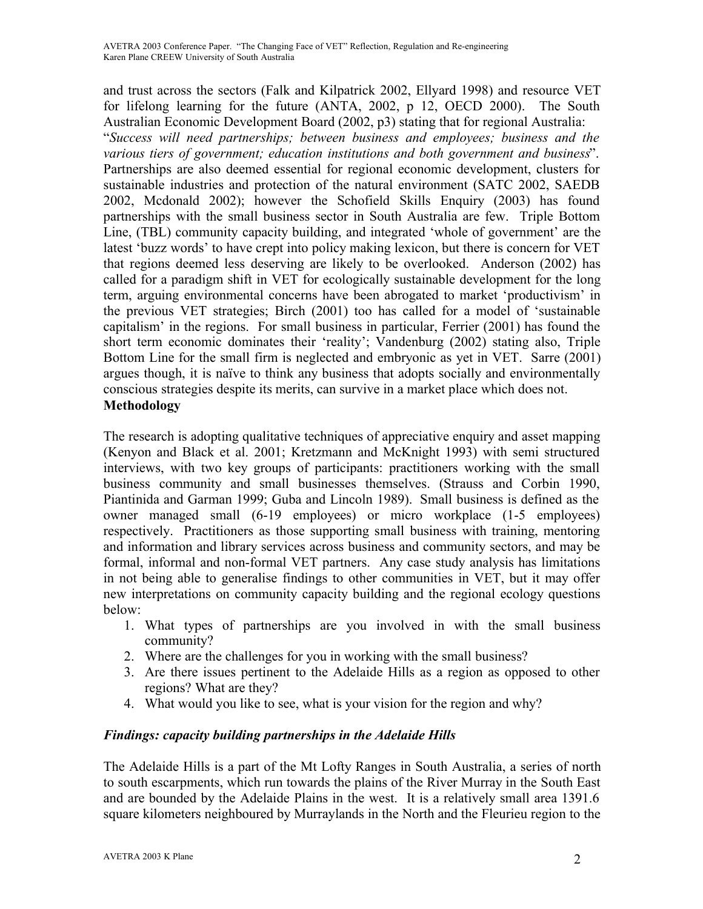and trust across the sectors (Falk and Kilpatrick 2002, Ellyard 1998) and resource VET for lifelong learning for the future (ANTA, 2002, p 12, OECD 2000). The South Australian Economic Development Board (2002, p3) stating that for regional Australia:

"*Success will need partnerships; between business and employees; business and the various tiers of government; education institutions and both government and business*". Partnerships are also deemed essential for regional economic development, clusters for sustainable industries and protection of the natural environment (SATC 2002, SAEDB 2002, Mcdonald 2002); however the Schofield Skills Enquiry (2003) has found partnerships with the small business sector in South Australia are few. Triple Bottom Line, (TBL) community capacity building, and integrated 'whole of government' are the latest 'buzz words' to have crept into policy making lexicon, but there is concern for VET that regions deemed less deserving are likely to be overlooked. Anderson (2002) has called for a paradigm shift in VET for ecologically sustainable development for the long term, arguing environmental concerns have been abrogated to market 'productivism' in the previous VET strategies; Birch (2001) too has called for a model of 'sustainable capitalism' in the regions. For small business in particular, Ferrier (2001) has found the short term economic dominates their 'reality'; Vandenburg (2002) stating also, Triple Bottom Line for the small firm is neglected and embryonic as yet in VET. Sarre (2001) argues though, it is naïve to think any business that adopts socially and environmentally conscious strategies despite its merits, can survive in a market place which does not. **Methodology**

The research is adopting qualitative techniques of appreciative enquiry and asset mapping (Kenyon and Black et al. 2001; Kretzmann and McKnight 1993) with semi structured interviews, with two key groups of participants: practitioners working with the small business community and small businesses themselves. (Strauss and Corbin 1990, Piantinida and Garman 1999; Guba and Lincoln 1989). Small business is defined as the owner managed small (6-19 employees) or micro workplace (1-5 employees) respectively. Practitioners as those supporting small business with training, mentoring and information and library services across business and community sectors, and may be formal, informal and non-formal VET partners. Any case study analysis has limitations in not being able to generalise findings to other communities in VET, but it may offer new interpretations on community capacity building and the regional ecology questions below:

- 1. What types of partnerships are you involved in with the small business community?
- 2. Where are the challenges for you in working with the small business?
- 3. Are there issues pertinent to the Adelaide Hills as a region as opposed to other regions? What are they?
- 4. What would you like to see, what is your vision for the region and why?

# *Findings: capacity building partnerships in the Adelaide Hills*

The Adelaide Hills is a part of the Mt Lofty Ranges in South Australia, a series of north to south escarpments, which run towards the plains of the River Murray in the South East and are bounded by the Adelaide Plains in the west. It is a relatively small area 1391.6 square kilometers neighboured by Murraylands in the North and the Fleurieu region to the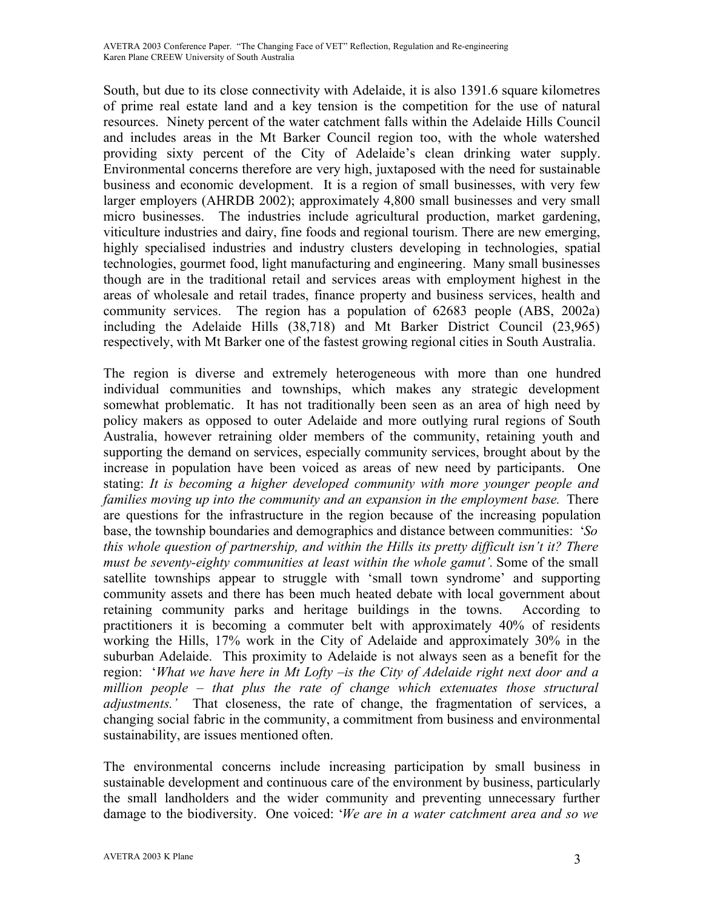South, but due to its close connectivity with Adelaide, it is also 1391.6 square kilometres of prime real estate land and a key tension is the competition for the use of natural resources. Ninety percent of the water catchment falls within the Adelaide Hills Council and includes areas in the Mt Barker Council region too, with the whole watershed providing sixty percent of the City of Adelaide's clean drinking water supply. Environmental concerns therefore are very high, juxtaposed with the need for sustainable business and economic development. It is a region of small businesses, with very few larger employers (AHRDB 2002); approximately 4,800 small businesses and very small micro businesses. The industries include agricultural production, market gardening, viticulture industries and dairy, fine foods and regional tourism. There are new emerging, highly specialised industries and industry clusters developing in technologies, spatial technologies, gourmet food, light manufacturing and engineering. Many small businesses though are in the traditional retail and services areas with employment highest in the areas of wholesale and retail trades, finance property and business services, health and community services. The region has a population of 62683 people (ABS, 2002a) including the Adelaide Hills (38,718) and Mt Barker District Council (23,965) respectively, with Mt Barker one of the fastest growing regional cities in South Australia.

The region is diverse and extremely heterogeneous with more than one hundred individual communities and townships, which makes any strategic development somewhat problematic. It has not traditionally been seen as an area of high need by policy makers as opposed to outer Adelaide and more outlying rural regions of South Australia, however retraining older members of the community, retaining youth and supporting the demand on services, especially community services, brought about by the increase in population have been voiced as areas of new need by participants. One stating: *It is becoming a higher developed community with more younger people and families moving up into the community and an expansion in the employment base.* There are questions for the infrastructure in the region because of the increasing population base, the township boundaries and demographics and distance between communities: '*So this whole question of partnership, and within the Hills its pretty difficult isn't it? There must be seventy-eighty communities at least within the whole gamut'.* Some of the small satellite townships appear to struggle with 'small town syndrome' and supporting community assets and there has been much heated debate with local government about retaining community parks and heritage buildings in the towns. According to practitioners it is becoming a commuter belt with approximately 40% of residents working the Hills, 17% work in the City of Adelaide and approximately 30% in the suburban Adelaide. This proximity to Adelaide is not always seen as a benefit for the region: '*What we have here in Mt Lofty –is the City of Adelaide right next door and a million people – that plus the rate of change which extenuates those structural adjustments.'* That closeness, the rate of change, the fragmentation of services, a changing social fabric in the community, a commitment from business and environmental sustainability, are issues mentioned often.

The environmental concerns include increasing participation by small business in sustainable development and continuous care of the environment by business, particularly the small landholders and the wider community and preventing unnecessary further damage to the biodiversity. One voiced: '*We are in a water catchment area and so we*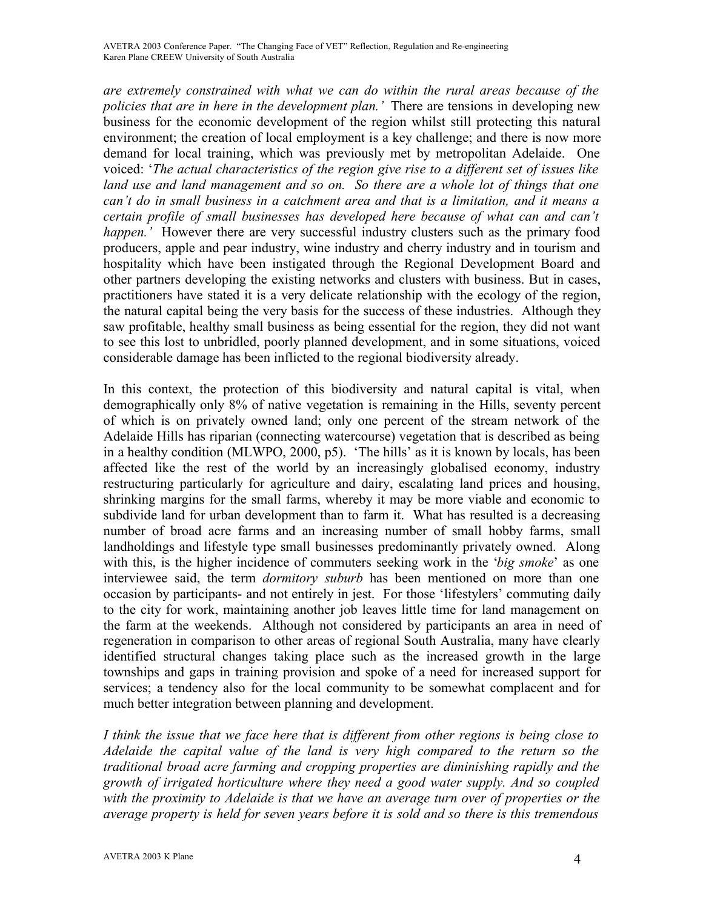*are extremely constrained with what we can do within the rural areas because of the policies that are in here in the development plan.'* There are tensions in developing new business for the economic development of the region whilst still protecting this natural environment; the creation of local employment is a key challenge; and there is now more demand for local training, which was previously met by metropolitan Adelaide. One voiced: '*The actual characteristics of the region give rise to a different set of issues like land use and land management and so on. So there are a whole lot of things that one can't do in small business in a catchment area and that is a limitation, and it means a certain profile of small businesses has developed here because of what can and can't happen.'* However there are very successful industry clusters such as the primary food producers, apple and pear industry, wine industry and cherry industry and in tourism and hospitality which have been instigated through the Regional Development Board and other partners developing the existing networks and clusters with business. But in cases, practitioners have stated it is a very delicate relationship with the ecology of the region, the natural capital being the very basis for the success of these industries. Although they saw profitable, healthy small business as being essential for the region, they did not want to see this lost to unbridled, poorly planned development, and in some situations, voiced considerable damage has been inflicted to the regional biodiversity already.

In this context, the protection of this biodiversity and natural capital is vital, when demographically only 8% of native vegetation is remaining in the Hills, seventy percent of which is on privately owned land; only one percent of the stream network of the Adelaide Hills has riparian (connecting watercourse) vegetation that is described as being in a healthy condition (MLWPO, 2000, p5). 'The hills' as it is known by locals, has been affected like the rest of the world by an increasingly globalised economy, industry restructuring particularly for agriculture and dairy, escalating land prices and housing, shrinking margins for the small farms, whereby it may be more viable and economic to subdivide land for urban development than to farm it. What has resulted is a decreasing number of broad acre farms and an increasing number of small hobby farms, small landholdings and lifestyle type small businesses predominantly privately owned. Along with this, is the higher incidence of commuters seeking work in the '*big smoke*' as one interviewee said, the term *dormitory suburb* has been mentioned on more than one occasion by participants- and not entirely in jest. For those 'lifestylers' commuting daily to the city for work, maintaining another job leaves little time for land management on the farm at the weekends. Although not considered by participants an area in need of regeneration in comparison to other areas of regional South Australia, many have clearly identified structural changes taking place such as the increased growth in the large townships and gaps in training provision and spoke of a need for increased support for services; a tendency also for the local community to be somewhat complacent and for much better integration between planning and development.

*I think the issue that we face here that is different from other regions is being close to Adelaide the capital value of the land is very high compared to the return so the traditional broad acre farming and cropping properties are diminishing rapidly and the growth of irrigated horticulture where they need a good water supply. And so coupled with the proximity to Adelaide is that we have an average turn over of properties or the average property is held for seven years before it is sold and so there is this tremendous*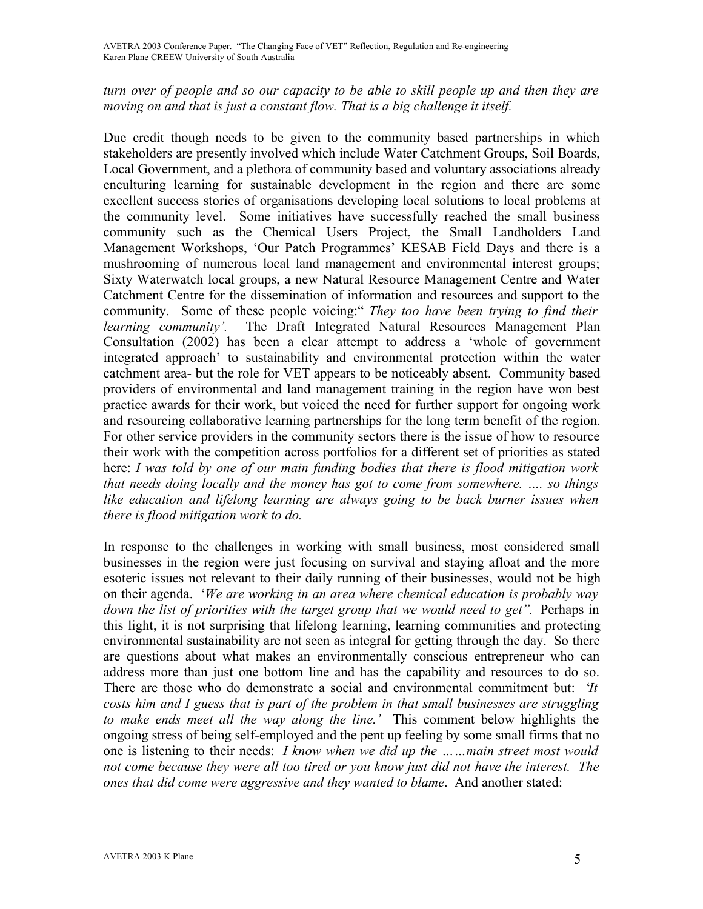## *turn over of people and so our capacity to be able to skill people up and then they are moving on and that is just a constant flow. That is a big challenge it itself.*

Due credit though needs to be given to the community based partnerships in which stakeholders are presently involved which include Water Catchment Groups, Soil Boards, Local Government, and a plethora of community based and voluntary associations already enculturing learning for sustainable development in the region and there are some excellent success stories of organisations developing local solutions to local problems at the community level. Some initiatives have successfully reached the small business community such as the Chemical Users Project, the Small Landholders Land Management Workshops, 'Our Patch Programmes' KESAB Field Days and there is a mushrooming of numerous local land management and environmental interest groups; Sixty Waterwatch local groups, a new Natural Resource Management Centre and Water Catchment Centre for the dissemination of information and resources and support to the community. Some of these people voicing:" *They too have been trying to find their learning community'.* The Draft Integrated Natural Resources Management Plan Consultation (2002) has been a clear attempt to address a 'whole of government integrated approach' to sustainability and environmental protection within the water catchment area- but the role for VET appears to be noticeably absent. Community based providers of environmental and land management training in the region have won best practice awards for their work, but voiced the need for further support for ongoing work and resourcing collaborative learning partnerships for the long term benefit of the region. For other service providers in the community sectors there is the issue of how to resource their work with the competition across portfolios for a different set of priorities as stated here: *I was told by one of our main funding bodies that there is flood mitigation work that needs doing locally and the money has got to come from somewhere. …. so things like education and lifelong learning are always going to be back burner issues when there is flood mitigation work to do.* 

In response to the challenges in working with small business, most considered small businesses in the region were just focusing on survival and staying afloat and the more esoteric issues not relevant to their daily running of their businesses, would not be high on their agenda. '*We are working in an area where chemical education is probably way down the list of priorities with the target group that we would need to get".* Perhaps in this light, it is not surprising that lifelong learning, learning communities and protecting environmental sustainability are not seen as integral for getting through the day. So there are questions about what makes an environmentally conscious entrepreneur who can address more than just one bottom line and has the capability and resources to do so. There are those who do demonstrate a social and environmental commitment but: '*It costs him and I guess that is part of the problem in that small businesses are struggling to make ends meet all the way along the line.'* This comment below highlights the ongoing stress of being self-employed and the pent up feeling by some small firms that no one is listening to their needs: *I know when we did up the ……main street most would not come because they were all too tired or you know just did not have the interest. The ones that did come were aggressive and they wanted to blame*. And another stated: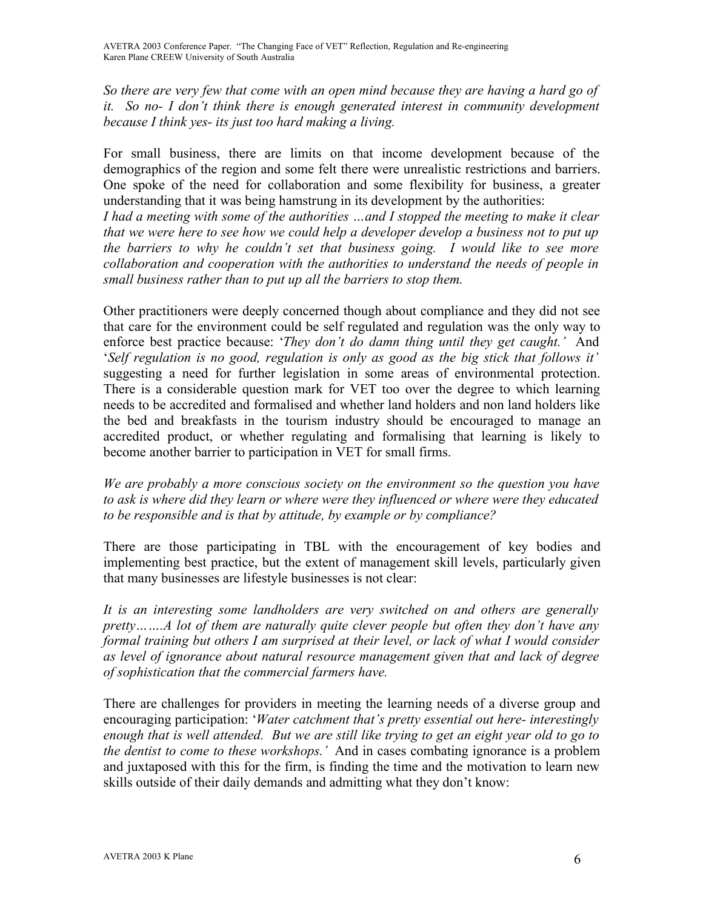*So there are very few that come with an open mind because they are having a hard go of it. So no- I don't think there is enough generated interest in community development because I think yes- its just too hard making a living.*

For small business, there are limits on that income development because of the demographics of the region and some felt there were unrealistic restrictions and barriers. One spoke of the need for collaboration and some flexibility for business, a greater understanding that it was being hamstrung in its development by the authorities:

*I had a meeting with some of the authorities …and I stopped the meeting to make it clear that we were here to see how we could help a developer develop a business not to put up the barriers to why he couldn't set that business going. I would like to see more collaboration and cooperation with the authorities to understand the needs of people in small business rather than to put up all the barriers to stop them.*

Other practitioners were deeply concerned though about compliance and they did not see that care for the environment could be self regulated and regulation was the only way to enforce best practice because: '*They don't do damn thing until they get caught.'* And '*Self regulation is no good, regulation is only as good as the big stick that follows it'* suggesting a need for further legislation in some areas of environmental protection. There is a considerable question mark for VET too over the degree to which learning needs to be accredited and formalised and whether land holders and non land holders like the bed and breakfasts in the tourism industry should be encouraged to manage an accredited product, or whether regulating and formalising that learning is likely to become another barrier to participation in VET for small firms.

*We are probably a more conscious society on the environment so the question you have to ask is where did they learn or where were they influenced or where were they educated to be responsible and is that by attitude, by example or by compliance?*

There are those participating in TBL with the encouragement of key bodies and implementing best practice, but the extent of management skill levels, particularly given that many businesses are lifestyle businesses is not clear:

*It is an interesting some landholders are very switched on and others are generally pretty…….A lot of them are naturally quite clever people but often they don't have any formal training but others I am surprised at their level, or lack of what I would consider as level of ignorance about natural resource management given that and lack of degree of sophistication that the commercial farmers have.*

There are challenges for providers in meeting the learning needs of a diverse group and encouraging participation: '*Water catchment that's pretty essential out here- interestingly* enough that is well attended. But we are still like trying to get an eight year old to go to *the dentist to come to these workshops.'* And in cases combating ignorance is a problem and juxtaposed with this for the firm, is finding the time and the motivation to learn new skills outside of their daily demands and admitting what they don't know: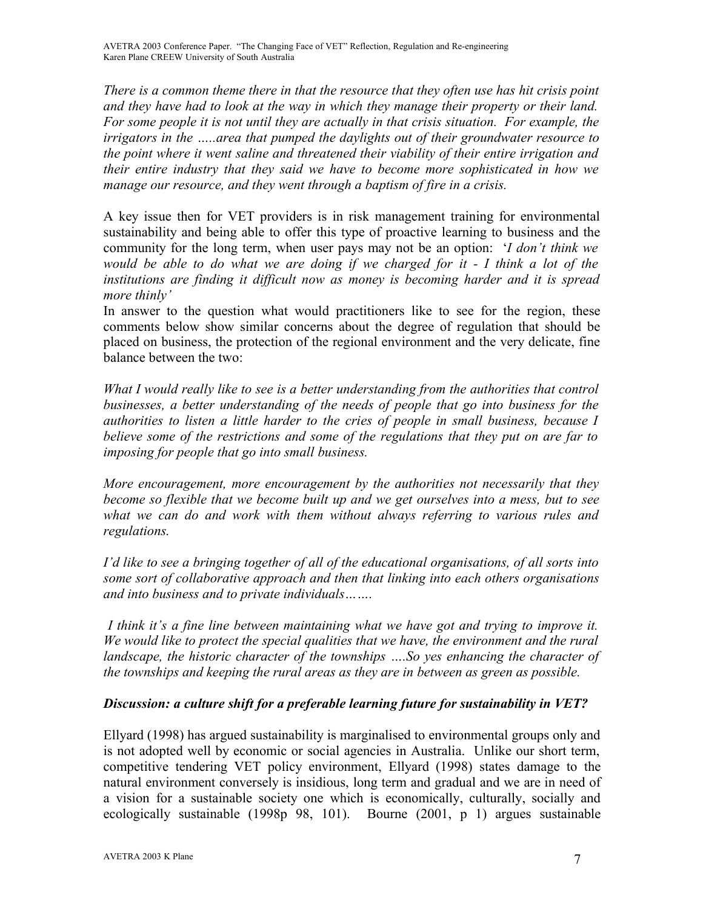*There is a common theme there in that the resource that they often use has hit crisis point and they have had to look at the way in which they manage their property or their land. For some people it is not until they are actually in that crisis situation. For example, the irrigators in the …..area that pumped the daylights out of their groundwater resource to the point where it went saline and threatened their viability of their entire irrigation and their entire industry that they said we have to become more sophisticated in how we manage our resource, and they went through a baptism of fire in a crisis.*

A key issue then for VET providers is in risk management training for environmental sustainability and being able to offer this type of proactive learning to business and the community for the long term, when user pays may not be an option: '*I don't think we* would be able to do what we are doing if we charged for it - I think a lot of the *institutions are finding it difficult now as money is becoming harder and it is spread more thinly'*

In answer to the question what would practitioners like to see for the region, these comments below show similar concerns about the degree of regulation that should be placed on business, the protection of the regional environment and the very delicate, fine balance between the two:

*What I would really like to see is a better understanding from the authorities that control businesses, a better understanding of the needs of people that go into business for the authorities to listen a little harder to the cries of people in small business, because I believe some of the restrictions and some of the regulations that they put on are far to imposing for people that go into small business.*

*More encouragement, more encouragement by the authorities not necessarily that they become so flexible that we become built up and we get ourselves into a mess, but to see what we can do and work with them without always referring to various rules and regulations.* 

*I'd like to see a bringing together of all of the educational organisations, of all sorts into some sort of collaborative approach and then that linking into each others organisations and into business and to private individuals…….*

*I think it's a fine line between maintaining what we have got and trying to improve it. We would like to protect the special qualities that we have, the environment and the rural landscape, the historic character of the townships ….So yes enhancing the character of the townships and keeping the rural areas as they are in between as green as possible.*

# *Discussion: a culture shift for a preferable learning future for sustainability in VET?*

Ellyard (1998) has argued sustainability is marginalised to environmental groups only and is not adopted well by economic or social agencies in Australia. Unlike our short term, competitive tendering VET policy environment, Ellyard (1998) states damage to the natural environment conversely is insidious, long term and gradual and we are in need of a vision for a sustainable society one which is economically, culturally, socially and ecologically sustainable (1998p 98, 101). Bourne (2001, p 1) argues sustainable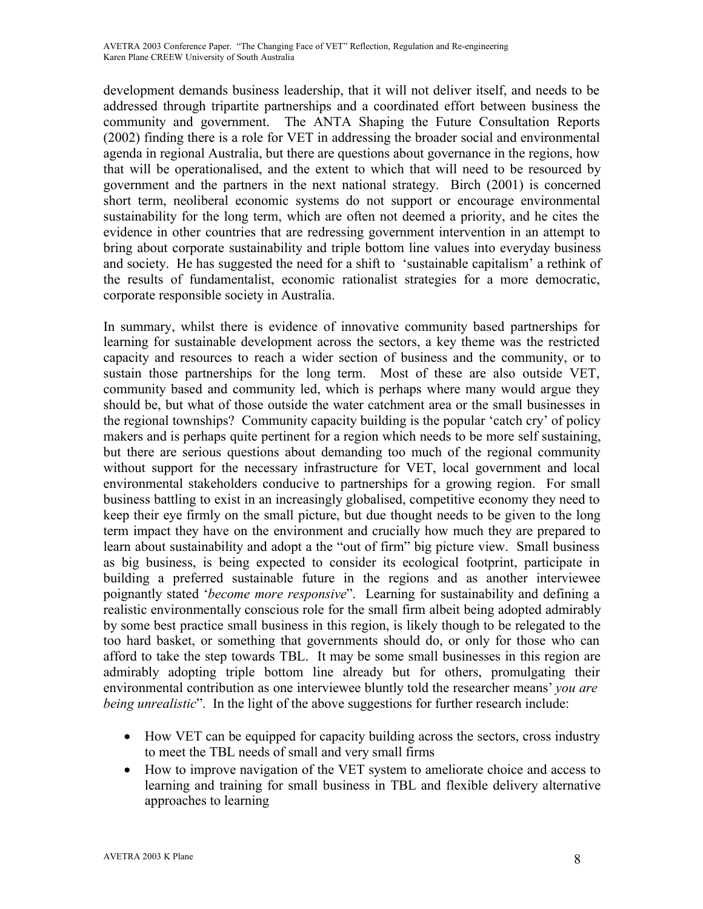development demands business leadership, that it will not deliver itself, and needs to be addressed through tripartite partnerships and a coordinated effort between business the community and government. The ANTA Shaping the Future Consultation Reports (2002) finding there is a role for VET in addressing the broader social and environmental agenda in regional Australia, but there are questions about governance in the regions, how that will be operationalised, and the extent to which that will need to be resourced by government and the partners in the next national strategy. Birch (2001) is concerned short term, neoliberal economic systems do not support or encourage environmental sustainability for the long term, which are often not deemed a priority, and he cites the evidence in other countries that are redressing government intervention in an attempt to bring about corporate sustainability and triple bottom line values into everyday business and society. He has suggested the need for a shift to 'sustainable capitalism' a rethink of the results of fundamentalist, economic rationalist strategies for a more democratic, corporate responsible society in Australia.

In summary, whilst there is evidence of innovative community based partnerships for learning for sustainable development across the sectors, a key theme was the restricted capacity and resources to reach a wider section of business and the community, or to sustain those partnerships for the long term. Most of these are also outside VET, community based and community led, which is perhaps where many would argue they should be, but what of those outside the water catchment area or the small businesses in the regional townships? Community capacity building is the popular 'catch cry' of policy makers and is perhaps quite pertinent for a region which needs to be more self sustaining, but there are serious questions about demanding too much of the regional community without support for the necessary infrastructure for VET, local government and local environmental stakeholders conducive to partnerships for a growing region. For small business battling to exist in an increasingly globalised, competitive economy they need to keep their eye firmly on the small picture, but due thought needs to be given to the long term impact they have on the environment and crucially how much they are prepared to learn about sustainability and adopt a the "out of firm" big picture view. Small business as big business, is being expected to consider its ecological footprint, participate in building a preferred sustainable future in the regions and as another interviewee poignantly stated '*become more responsive*". Learning for sustainability and defining a realistic environmentally conscious role for the small firm albeit being adopted admirably by some best practice small business in this region, is likely though to be relegated to the too hard basket, or something that governments should do, or only for those who can afford to take the step towards TBL. It may be some small businesses in this region are admirably adopting triple bottom line already but for others, promulgating their environmental contribution as one interviewee bluntly told the researcher means' *you are being unrealistic*". In the light of the above suggestions for further research include:

- How VET can be equipped for capacity building across the sectors, cross industry to meet the TBL needs of small and very small firms
- How to improve navigation of the VET system to ameliorate choice and access to learning and training for small business in TBL and flexible delivery alternative approaches to learning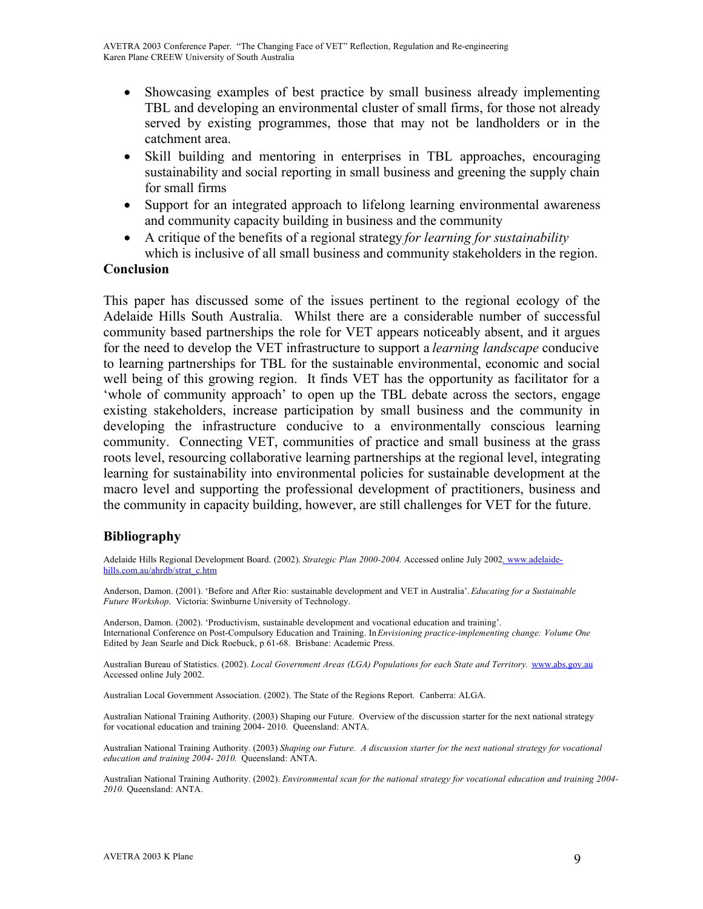- Showcasing examples of best practice by small business already implementing TBL and developing an environmental cluster of small firms, for those not already served by existing programmes, those that may not be landholders or in the catchment area.
- Skill building and mentoring in enterprises in TBL approaches, encouraging sustainability and social reporting in small business and greening the supply chain for small firms
- Support for an integrated approach to lifelong learning environmental awareness and community capacity building in business and the community
- A critique of the benefits of a regional strategy *for learning for sustainability* which is inclusive of all small business and community stakeholders in the region.

#### **Conclusion**

This paper has discussed some of the issues pertinent to the regional ecology of the Adelaide Hills South Australia. Whilst there are a considerable number of successful community based partnerships the role for VET appears noticeably absent, and it argues for the need to develop the VET infrastructure to support a *learning landscape* conducive to learning partnerships for TBL for the sustainable environmental, economic and social well being of this growing region. It finds VET has the opportunity as facilitator for a 'whole of community approach' to open up the TBL debate across the sectors, engage existing stakeholders, increase participation by small business and the community in developing the infrastructure conducive to a environmentally conscious learning community. Connecting VET, communities of practice and small business at the grass roots level, resourcing collaborative learning partnerships at the regional level, integrating learning for sustainability into environmental policies for sustainable development at the macro level and supporting the professional development of practitioners, business and the community in capacity building, however, are still challenges for VET for the future.

### **Bibliography**

Adelaide Hills Regional Development Board. (2002). *Strategic Plan 2000-2004.* Accessed online July 2002. www.adelaidehills.com.au/ahrdb/strat\_c.htm

Anderson, Damon. (2001). 'Before and After Rio: sustainable development and VET in Australia'.*Educating for a Sustainable Future Workshop*. Victoria: Swinburne University of Technology.

Anderson, Damon. (2002). 'Productivism, sustainable development and vocational education and training'. International Conference on Post-Compulsory Education and Training. In*Envisioning practice-implementing change: Volume One* Edited by Jean Searle and Dick Roebuck, p 61-68. Brisbane: Academic Press.

Australian Bureau of Statistics. (2002). *Local Government Areas (LGA) Populations for each State and Territory.* www.abs.gov.au Accessed online July 2002.

Australian Local Government Association. (2002). The State of the Regions Report. Canberra: ALGA.

Australian National Training Authority. (2003) Shaping our Future. Overview of the discussion starter for the next national strategy for vocational education and training 2004- 2010. Queensland: ANTA.

Australian National Training Authority. (2003) *Shaping our Future. A discussion starter for the next national strategy for vocational education and training 2004- 2010*. Queensland: ANTA.

Australian National Training Authority. (2002). *Environmental scan for the national strategy for vocational education and training 2004- 2010.* Queensland: ANTA.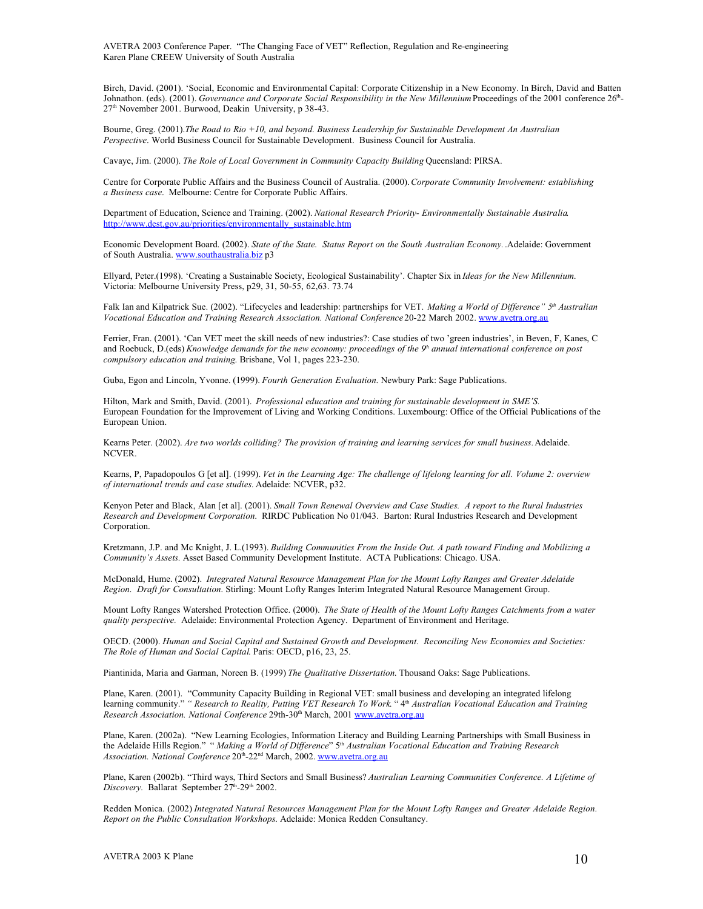Birch, David. (2001). 'Social, Economic and Environmental Capital: Corporate Citizenship in a New Economy. In Birch, David and Batten Johnathon. (eds). (2001). *Governance and Corporate Social Responsibility in the New Millennium*Proceedings of the 2001 conference 26th - 27<sup>th</sup> November 2001. Burwood, Deakin University, p 38-43.

Bourne, Greg. (2001).*The Road to Rio +10, and beyond. Business Leadership for Sustainable Development An Australian Perspective*. World Business Council for Sustainable Development. Business Council for Australia.

Cavaye, Jim. (2000). *The Role of Local Government in Community Capacity Building* Queensland: PIRSA.

Centre for Corporate Public Affairs and the Business Council of Australia. (2000).*Corporate Community Involvement: establishing a Business case*. Melbourne: Centre for Corporate Public Affairs.

Department of Education, Science and Training. (2002). *National Research Priority- Environmentally Sustainable Australia*. http://www.dest.gov.au/priorities/environmentally\_sustainable.htm

Economic Development Board. (2002). *State of the State. Status Report on the South Australian Economy.*.Adelaide: Government of South Australia. www.southaustralia.biz p3

Ellyard, Peter.(1998). 'Creating a Sustainable Society, Ecological Sustainability'. Chapter Six in *Ideas for the New Millennium*. Victoria: Melbourne University Press, p29, 31, 50-55, 62,63. 73.74

Falk Ian and Kilpatrick Sue. (2002). "Lifecycles and leadership: partnerships for VET. *Making a World of Difference" 5 th Australian Vocational Education and Training Research Association. National Conference* 20-22 March 2002. www.avetra.org.au

Ferrier, Fran. (2001). 'Can VET meet the skill needs of new industries?: Case studies of two 'green industries', in Beven, F, Kanes, C and Roebuck, D.(eds) Knowledge demands for the new economy: proceedings of the  $9<sup>h</sup>$  annual international conference on post *compulsory education and training*. Brisbane, Vol 1, pages 223-230.

Guba, Egon and Lincoln, Yvonne. (1999). *Fourth Generation Evaluation*. Newbury Park: Sage Publications.

Hilton, Mark and Smith, David. (2001). *Professional education and training for sustainable development in SME'S.* European Foundation for the Improvement of Living and Working Conditions. Luxembourg: Office of the Official Publications of the European Union.

Kearns Peter. (2002). *Are two worlds colliding? The provision of training and learning services for small business.*Adelaide. NCVER.

Kearns, P, Papadopoulos G [et al]. (1999). Vet in the Learning Age: The challenge of lifelong learning for all. Volume 2: overview *of international trends and case studies.* Adelaide: NCVER, p32.

Kenyon Peter and Black, Alan [et al]. (2001). *Small Town Renewal Overview and Case Studies. A report to the Rural Industries Research and Development Corporation*. RIRDC Publication No 01/043. Barton: Rural Industries Research and Development Corporation.

Kretzmann, J.P. and Mc Knight, J. L.(1993). *Building Communities From the Inside Out. A path toward Finding and Mobilizing a Community's Assets.* Asset Based Community Development Institute. ACTA Publications: Chicago. USA.

McDonald, Hume. (2002). *Integrated Natural Resource Management Plan for the Mount Lofty Ranges and Greater Adelaide Region. Draft for Consultation.* Stirling: Mount Lofty Ranges Interim Integrated Natural Resource Management Group.

Mount Lofty Ranges Watershed Protection Office. (2000). *The State of Health of the Mount Lofty Ranges Catchments from a water quality perspective.* Adelaide: Environmental Protection Agency. Department of Environment and Heritage.

OECD. (2000). *Human and Social Capital and Sustained Growth and Development. Reconciling New Economies and Societies: The Role of Human and Social Capital*. Paris: OECD, p16, 23, 25.

Piantinida, Maria and Garman, Noreen B. (1999) *The Qualitative Dissertation*. Thousand Oaks: Sage Publications.

Plane, Karen. (2001). "Community Capacity Building in Regional VET: small business and developing an integrated lifelong learning community." *" Research to Reality, Putting VET Research To Work*. " 4 th *Australian Vocational Education and Training Research Association. National Conference* 29th-30 th March, 2001 www.avetra.org.au

Plane, Karen. (2002a). "New Learning Ecologies, Information Literacy and Building Learning Partnerships with Small Business in the Adelaide Hills Region." " *Making a World of Difference*" 5 th *Australian Vocational Education and Training Research* Association. National Conference 20<sup>th</sup>-22<sup>nd</sup> March, 2002. www.avetra.org.au

Plane, Karen (2002b). "Third ways, Third Sectors and Small Business? *Australian Learning Communities Conference. A Lifetime of* Discovery. Ballarat September 27<sup>th</sup>-29<sup>th</sup> 2002.

Redden Monica. (2002) *Integrated Natural Resources Management Plan for the Mount Lofty Ranges and Greater Adelaide Region. Report on the Public Consultation Workshops*. Adelaide: Monica Redden Consultancy.